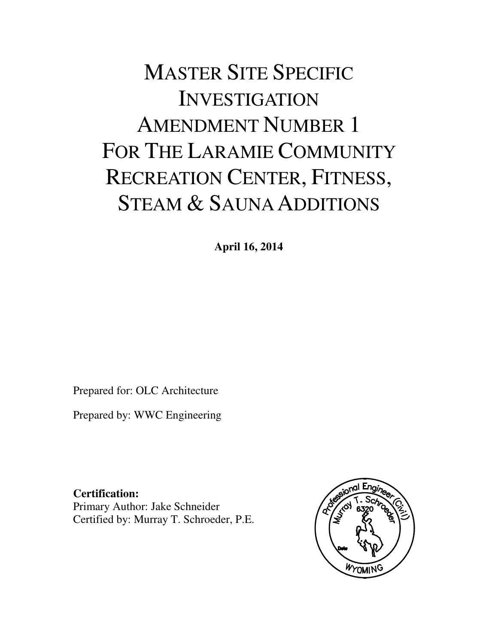# MASTER SITE SPECIFIC INVESTIGATION AMENDMENT NUMBER 1 FOR THE LARAMIE COMMUNITY RECREATION CENTER, FITNESS, STEAM & SAUNA ADDITIONS

**April 16, 2014** 

Prepared for: OLC Architecture

Prepared by: WWC Engineering

**Certification:**  Primary Author: Jake Schneider Certified by: Murray T. Schroeder, P.E.

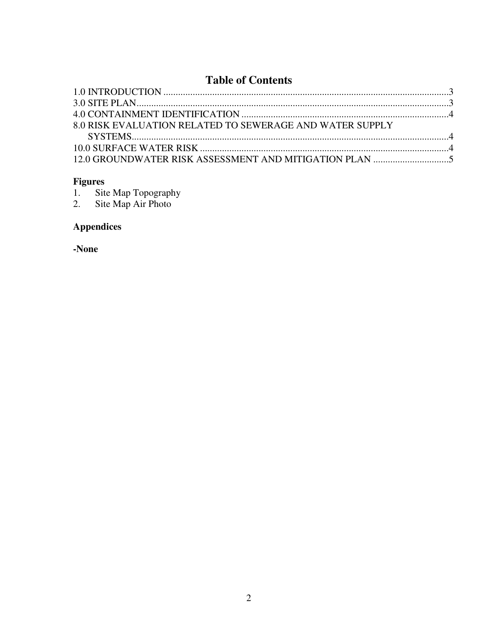# **Table of Contents**

| 8.0 RISK EVALUATION RELATED TO SEWERAGE AND WATER SUPPLY |  |
|----------------------------------------------------------|--|
|                                                          |  |
|                                                          |  |
|                                                          |  |
|                                                          |  |

Figures<br>1. Site Map Topography<br>2. Site Map Air Photo

# **Appendices**

-None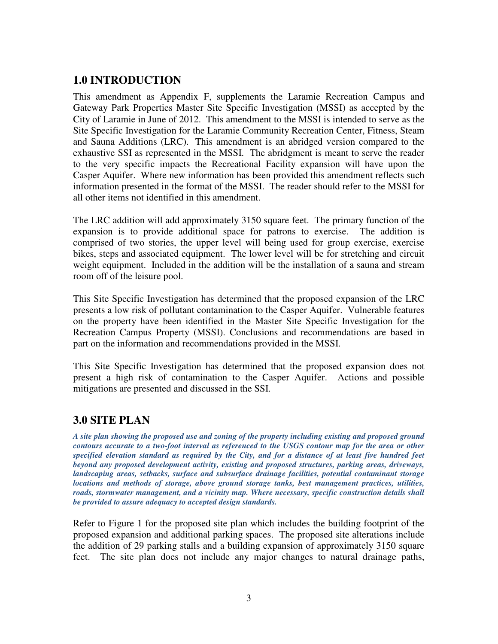#### **1.0 INTRODUCTION**

This amendment as Appendix F, supplements the Laramie Recreation Campus and Gateway Park Properties Master Site Specific Investigation (MSSI) as accepted by the City of Laramie in June of 2012. This amendment to the MSSI is intended to serve as the Site Specific Investigation for the Laramie Community Recreation Center, Fitness, Steam and Sauna Additions (LRC). This amendment is an abridged version compared to the exhaustive SSI as represented in the MSSI. The abridgment is meant to serve the reader to the very specific impacts the Recreational Facility expansion will have upon the Casper Aquifer. Where new information has been provided this amendment reflects such information presented in the format of the MSSI. The reader should refer to the MSSI for all other items not identified in this amendment.

The LRC addition will add approximately 3150 square feet. The primary function of the expansion is to provide additional space for patrons to exercise. The addition is comprised of two stories, the upper level will being used for group exercise, exercise bikes, steps and associated equipment. The lower level will be for stretching and circuit weight equipment. Included in the addition will be the installation of a sauna and stream room off of the leisure pool.

This Site Specific Investigation has determined that the proposed expansion of the LRC presents a low risk of pollutant contamination to the Casper Aquifer. Vulnerable features on the property have been identified in the Master Site Specific Investigation for the Recreation Campus Property (MSSI). Conclusions and recommendations are based in part on the information and recommendations provided in the MSSI.

This Site Specific Investigation has determined that the proposed expansion does not present a high risk of contamination to the Casper Aquifer. Actions and possible mitigations are presented and discussed in the SSI.

#### **3.0 SITE PLAN**

*A site plan showing the proposed use and zoning of the property including existing and proposed ground contours accurate to a two-foot interval as referenced to the USGS contour map for the area or other specified elevation standard as required by the City, and for a distance of at least five hundred feet beyond any proposed development activity, existing and proposed structures, parking areas, driveways, landscaping areas, setbacks, surface and subsurface drainage facilities, potential contaminant storage locations and methods of storage, above ground storage tanks, best management practices, utilities, roads, stormwater management, and a vicinity map. Where necessary, specific construction details shall be provided to assure adequacy to accepted design standards.*

Refer to Figure 1 for the proposed site plan which includes the building footprint of the proposed expansion and additional parking spaces. The proposed site alterations include the addition of 29 parking stalls and a building expansion of approximately 3150 square feet. The site plan does not include any major changes to natural drainage paths,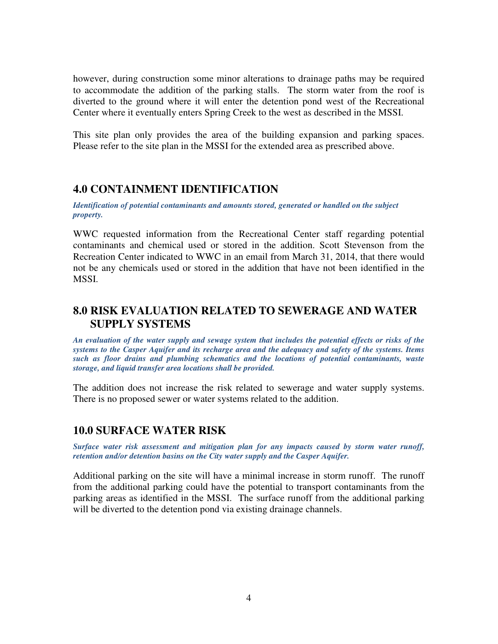however, during construction some minor alterations to drainage paths may be required to accommodate the addition of the parking stalls. The storm water from the roof is diverted to the ground where it will enter the detention pond west of the Recreational Center where it eventually enters Spring Creek to the west as described in the MSSI.

This site plan only provides the area of the building expansion and parking spaces. Please refer to the site plan in the MSSI for the extended area as prescribed above.

#### **4.0 CONTAINMENT IDENTIFICATION**

*Identification of potential contaminants and amounts stored, generated or handled on the subject property.* 

WWC requested information from the Recreational Center staff regarding potential contaminants and chemical used or stored in the addition. Scott Stevenson from the Recreation Center indicated to WWC in an email from March 31, 2014, that there would not be any chemicals used or stored in the addition that have not been identified in the MSSI.

#### **8.0 RISK EVALUATION RELATED TO SEWERAGE AND WATER SUPPLY SYSTEMS**

*An evaluation of the water supply and sewage system that includes the potential effects or risks of the systems to the Casper Aquifer and its recharge area and the adequacy and safety of the systems. Items such as floor drains and plumbing schematics and the locations of potential contaminants, waste storage, and liquid transfer area locations shall be provided.* 

The addition does not increase the risk related to sewerage and water supply systems. There is no proposed sewer or water systems related to the addition.

#### **10.0 SURFACE WATER RISK**

*Surface water risk assessment and mitigation plan for any impacts caused by storm water runoff, retention and/or detention basins on the City water supply and the Casper Aquifer.* 

Additional parking on the site will have a minimal increase in storm runoff. The runoff from the additional parking could have the potential to transport contaminants from the parking areas as identified in the MSSI. The surface runoff from the additional parking will be diverted to the detention pond via existing drainage channels.